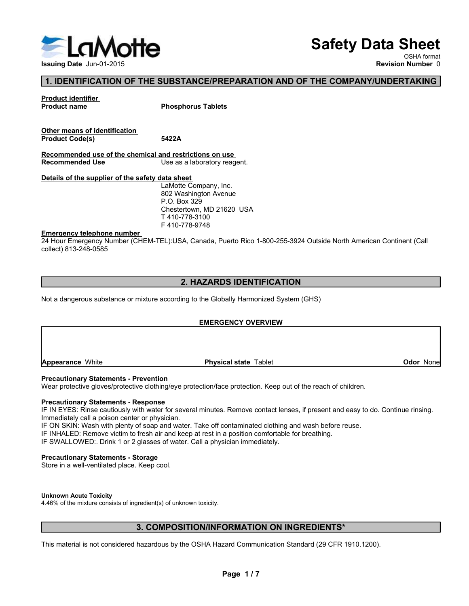

# Safety Data Sheet

OSHA format

# 1. IDENTIFICATION OF THE SUBSTANCE/PREPARATION AND OF THE COMPANY/UNDERTAKING

**Safety Data Sheet**<br>
Nevision Number 0<br>
Nevision Number 0<br>
Revision Number 0<br>
Phosphorus Tablets<br>
5422A<br>
Mater Sheet Company, Inc.<br>
LaMotte Company, Inc.<br>
LaMotte Company, Inc.<br>
P.O. Box 329<br>
PACK Station Neque<br>
P.O. Box 3 **Safety Data Sheet**<br>
Revision Number 0<br>
Revision Number 0<br>
Revision Number 0<br>
Phosphorus Tablets<br>
5422A<br>
Indicated<br>
Use as a laboratory reagent.<br>
Idea and a laboratory reagent.<br>
202 Washington Avenue<br>
P.O. Box 329<br>
Chester P.O. Box 329 T 410-778-3100 F 410-778-9748

Safety I<br>
Issuing Date Jun-01-2015<br>
1. IDENTIFICATION OF THE SUBSTANCE/PREPARATION AND OF THE COMPAN<br>
Product identifier<br>
Product Code(s)<br>
Thosphorus Tablets<br>
Other means of identification<br>
Product Code(s)<br>
The state of th Example of the Since of CHEM-TEL):USA, Canada, Puerto Rico 1-800-255-3924 Outside North American Continent (Call<br>
The experiment of the Substitution Product Code(s)<br>
Product details of the chemical districtions on use.<br>
Re ISSUING THE SUBSTANCE/PREPARATION AND OF T<br>
Product identifier.<br>
Product definition<br>
Product Code(s)<br>
Other means of identification<br>
Product Code(s)<br>
Becommended use of the chemical and restrictions on use<br>
Recommended use Product code(s)<br>
Product Code(s)<br>
Product Code(s)<br>
Recommended Use<br>
Recommended Use<br>
Nextrains of the substance of the safety distance<br>
Use as a laboratory reagent.<br>
Details of the supplier of the safety distance<br>
Close ( Detains of the supplier of the salety taking to company, Inc.<br>
BO2 Washington Avenue<br>
PC. Disc 829<br>
Chestertown, MD 21620 USA<br>
T410-778-9748<br>
T410-778-9748<br>
T410-778-9748<br>
PEREPRECAUTE PREVENTER - PREVENTED FOR Rise 25-392 Finder Christian Theory over the Theory of the Sales of Ware Theory (The Christman F10-778-9100<br>
24 Hour Emergency Number (CHEM-TEL):USA, Canada, Puerto Rico 1-800-255-3924 Outside North American<br>
24 Hour Emergency Number Emergency telephone number<br>
F410-778-9748<br>
24 Hour Emergency Number (CHEM-TEL):USA, Canada, Puerto Rico 1-800-255-3924 Outside North American Contin<br>
collect) 813-248-0686<br>
2. HAZARDS IDENTIFICATION<br>
Not a dangerous substa **Safety Data Sheet**<br>
SHA CHESTANCE/PREPARATION AND OF THE COMPANY/UNDERTAKING<br>
Now SHA (Some Number 0<br>
Phosphorus Tablets<br>
EASE<br>
USE as a laboratory reagent.<br>
Idea sheet<br>
USE as a laboratory reagent.<br>
A T410-778-3100<br>
Ches Recommenced use<br>
Versilis of the supplier of the safety data sheet<br>
ADM is a wide Company, Inc.<br>
P.O. Box 329<br>
Chestertown, MD 21620 USA<br>
T410-778-9109<br>
T410-778-9149<br>
T410-178-9749<br>
Z4 Hour Emergency telephone number<br>
CHE

# 2. HAZARDS IDENTIFICATION

### EMERGENCY OVERVIEW

Emergency telephone number<br>
Comparison Avenue<br>
Comparison Avenue<br>
T410-776-3748<br>
T410-776-3748<br>
T410-776-3748<br>
Collective gloves/protective CCHEM-TEL)USA, Canada, Puerto Rico 1-800-255-3924 Outside North American Continent **EMERGENCY IM ENGLEMENT WE ARE THE CYTE IN EXECT AND A STATE OF THE CONTROL**<br>
24 Hour Emergency Number (CHEM-TEL; U.SA, Canada, Puerto Rico 1-800-255-3924 Outside North American Continent (Call<br>
2. HAZARDS IDENTIFICATION<br> Emergency telenbene mumber.<br>
24 Hour Energency Number (CHEM-TEL):USA, Canada, Puerto Rico 1-800-255-3924 Outside North American Continent (Call<br>
2. **HAZARDS IDENTIFICATION**<br>
Not a dangerous substance or mixture according t ENTRIFTING INTERNATION CONTENT TELNUSA, Canada, Puerto Rico 1-800-255-3924 Outside North American Continent (Call<br>
Variour Energiency Number (CHEM-TELNUSA, Canada, Puerto Rico 1-800-255-3924 Outside North American Continen 2. HAZARDS IDENTIFICATION<br>
Yar Notice it is 248-0585<br>
2. HAZARDS IDENTIFICATION<br>
Not a dangerous substance or mixture according to the Globally Harmonized System (GHS)<br>
FINERGENCY OVERVIEW<br>
Precautionary Statements - Preve **2. HAZARDS IDENTIFICATION**<br>
Not a dangerous substance or mixture according to the Globally Harmonized System (GHS)<br> **EMERGENCY OVERVIEW**<br> **Precautionary Statements - Prevention**<br>
Precautionary Statements - Prevention<br>
Pre **2. HAZARDS IDENTIFICATION**<br>
Not a dangerous substance or mixture according to the Globally Harmonized System (GHS)<br> **EMERGENCY OVERVIEW**<br> **Procautionary Statements - Prevention**<br>
Wear protective gloves/protective clothing **Experience White**<br> **Precent thonay Statements - Prevention**<br>
Wear protective gloves/protective dothing/eye protection/face protection. Keep out of the reach of children.<br> **Procent onary Statements - Response**<br> **FINENCES:** ce protection. Keep out of the reach of children.<br>
S. Remove contact lenses, if present and easy to do. Continue rinsing.<br>
contaminated clothing and wash before reuse.<br>
a position comfortable for breathing.<br>
Sician immedia

### Unknown Acute Toxicity

4.46% of the mixture consists of ingredient(s) of unknown toxicity.

# 3. COMPOSITION/INFORMATION ON INGREDIENTS\*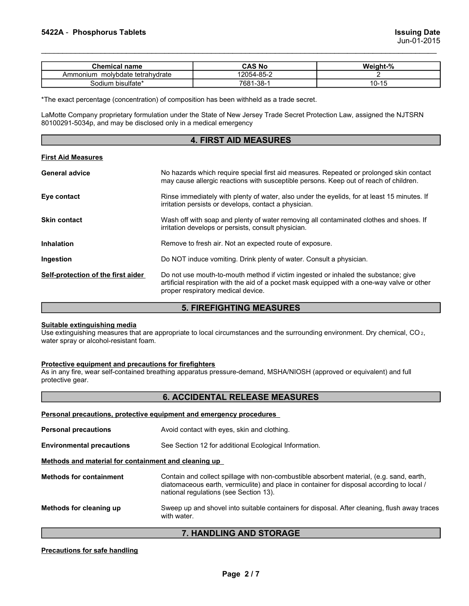| <b>Issuing Date</b><br>Jun-01-2015<br><b>Chemical name</b><br><b>CAS No</b><br>Weight-%<br>Ammonium molybdate tetrahydrate<br>12054-85-2<br>$\overline{2}$<br>Sodium bisulfate*<br>7681-38-1<br>$10 - 15$<br>*The exact percentage (concentration) of composition has been withheld as a trade secret.<br>LaMotte Company proprietary formulation under the State of New Jersey Trade Secret Protection Law, assigned the NJTSRN<br>80100291-5034p, and may be disclosed only in a medical emergency<br><b>4. FIRST AID MEASURES</b><br><b>First Aid Measures</b><br>No bezerde which require enecial first aid measures. Depeated or prolonged alin contact<br>Concept odular |                            |  |  |
|--------------------------------------------------------------------------------------------------------------------------------------------------------------------------------------------------------------------------------------------------------------------------------------------------------------------------------------------------------------------------------------------------------------------------------------------------------------------------------------------------------------------------------------------------------------------------------------------------------------------------------------------------------------------------------|----------------------------|--|--|
|                                                                                                                                                                                                                                                                                                                                                                                                                                                                                                                                                                                                                                                                                |                            |  |  |
|                                                                                                                                                                                                                                                                                                                                                                                                                                                                                                                                                                                                                                                                                |                            |  |  |
|                                                                                                                                                                                                                                                                                                                                                                                                                                                                                                                                                                                                                                                                                |                            |  |  |
|                                                                                                                                                                                                                                                                                                                                                                                                                                                                                                                                                                                                                                                                                |                            |  |  |
|                                                                                                                                                                                                                                                                                                                                                                                                                                                                                                                                                                                                                                                                                |                            |  |  |
|                                                                                                                                                                                                                                                                                                                                                                                                                                                                                                                                                                                                                                                                                |                            |  |  |
|                                                                                                                                                                                                                                                                                                                                                                                                                                                                                                                                                                                                                                                                                |                            |  |  |
|                                                                                                                                                                                                                                                                                                                                                                                                                                                                                                                                                                                                                                                                                |                            |  |  |
|                                                                                                                                                                                                                                                                                                                                                                                                                                                                                                                                                                                                                                                                                |                            |  |  |
|                                                                                                                                                                                                                                                                                                                                                                                                                                                                                                                                                                                                                                                                                |                            |  |  |
|                                                                                                                                                                                                                                                                                                                                                                                                                                                                                                                                                                                                                                                                                |                            |  |  |
|                                                                                                                                                                                                                                                                                                                                                                                                                                                                                                                                                                                                                                                                                |                            |  |  |
|                                                                                                                                                                                                                                                                                                                                                                                                                                                                                                                                                                                                                                                                                |                            |  |  |
|                                                                                                                                                                                                                                                                                                                                                                                                                                                                                                                                                                                                                                                                                |                            |  |  |
|                                                                                                                                                                                                                                                                                                                                                                                                                                                                                                                                                                                                                                                                                |                            |  |  |
|                                                                                                                                                                                                                                                                                                                                                                                                                                                                                                                                                                                                                                                                                | 5422A - Phosphorus Tablets |  |  |
|                                                                                                                                                                                                                                                                                                                                                                                                                                                                                                                                                                                                                                                                                |                            |  |  |
|                                                                                                                                                                                                                                                                                                                                                                                                                                                                                                                                                                                                                                                                                |                            |  |  |
|                                                                                                                                                                                                                                                                                                                                                                                                                                                                                                                                                                                                                                                                                |                            |  |  |
|                                                                                                                                                                                                                                                                                                                                                                                                                                                                                                                                                                                                                                                                                |                            |  |  |
|                                                                                                                                                                                                                                                                                                                                                                                                                                                                                                                                                                                                                                                                                |                            |  |  |
|                                                                                                                                                                                                                                                                                                                                                                                                                                                                                                                                                                                                                                                                                |                            |  |  |
|                                                                                                                                                                                                                                                                                                                                                                                                                                                                                                                                                                                                                                                                                |                            |  |  |

### 4. FIRST AID MEASURES

| 5422A - Phosphorus Tablets                                                |                                                                                                                                                                                                                         | <b>Issuing Date</b><br>Jun-01-2015 |  |  |  |  |
|---------------------------------------------------------------------------|-------------------------------------------------------------------------------------------------------------------------------------------------------------------------------------------------------------------------|------------------------------------|--|--|--|--|
| <b>Chemical name</b>                                                      | <b>CAS No</b>                                                                                                                                                                                                           | Weight-%                           |  |  |  |  |
| Ammonium molybdate tetrahydrate                                           | 12054-85-2                                                                                                                                                                                                              | 2                                  |  |  |  |  |
| Sodium bisulfate*                                                         | 7681-38-1                                                                                                                                                                                                               | $10 - 15$                          |  |  |  |  |
| 80100291-5034p, and may be disclosed only in a medical emergency          | *The exact percentage (concentration) of composition has been withheld as a trade secret.<br>LaMotte Company proprietary formulation under the State of New Jersey Trade Secret Protection Law, assigned the NJTSRN     |                                    |  |  |  |  |
|                                                                           | <b>4. FIRST AID MEASURES</b>                                                                                                                                                                                            |                                    |  |  |  |  |
| <b>First Aid Measures</b>                                                 |                                                                                                                                                                                                                         |                                    |  |  |  |  |
| <b>General advice</b>                                                     | No hazards which require special first aid measures. Repeated or prolonged skin contact<br>may cause allergic reactions with susceptible persons. Keep out of reach of children.                                        |                                    |  |  |  |  |
| Eye contact                                                               | Rinse immediately with plenty of water, also under the eyelids, for at least 15 minutes. If<br>irritation persists or develops, contact a physician.                                                                    |                                    |  |  |  |  |
| <b>Skin contact</b>                                                       | Wash off with soap and plenty of water removing all contaminated clothes and shoes. If<br>irritation develops or persists, consult physician.                                                                           |                                    |  |  |  |  |
| <b>Inhalation</b>                                                         | Remove to fresh air. Not an expected route of exposure.                                                                                                                                                                 |                                    |  |  |  |  |
| Ingestion                                                                 | Do NOT induce vomiting. Drink plenty of water. Consult a physician.                                                                                                                                                     |                                    |  |  |  |  |
| Self-protection of the first aider                                        | Do not use mouth-to-mouth method if victim ingested or inhaled the substance; give<br>artificial respiration with the aid of a pocket mask equipped with a one-way valve or other<br>proper respiratory medical device. |                                    |  |  |  |  |
|                                                                           | <b>5. FIREFIGHTING MEASURES</b>                                                                                                                                                                                         |                                    |  |  |  |  |
| Suitable extinguishing media<br>water spray or alcohol-resistant foam.    | Use extinguishing measures that are appropriate to local circumstances and the surrounding environment. Dry chemical, CO <sub>2</sub> ,                                                                                 |                                    |  |  |  |  |
| Protective equipment and precautions for firefighters<br>protective gear. | As in any fire, wear self-contained breathing apparatus pressure-demand, MSHA/NIOSH (approved or equivalent) and full                                                                                                   |                                    |  |  |  |  |
|                                                                           | <b>6. ACCIDENTAL RELEASE MEASURES</b>                                                                                                                                                                                   |                                    |  |  |  |  |
|                                                                           | Personal precautions, protective equipment and emergency procedures                                                                                                                                                     |                                    |  |  |  |  |
| <b>Personal precautions</b>                                               | Avoid contact with eyes, skin and clothing.                                                                                                                                                                             |                                    |  |  |  |  |
| <b>Environmental precautions</b>                                          | See Section 12 for additional Ecological Information.                                                                                                                                                                   |                                    |  |  |  |  |
| Methods and material for containment and cleaning up                      |                                                                                                                                                                                                                         |                                    |  |  |  |  |

### 5. FIREFIGHTING MEASURES

### 6. ACCIDENTAL RELEASE MEASURES

|                                                                               | imation acveicps or persists, consult privatuant.                                                                                                                                                                               |
|-------------------------------------------------------------------------------|---------------------------------------------------------------------------------------------------------------------------------------------------------------------------------------------------------------------------------|
| <b>Inhalation</b>                                                             | Remove to fresh air. Not an expected route of exposure.                                                                                                                                                                         |
| Ingestion                                                                     | Do NOT induce vomiting. Drink plenty of water. Consult a physician.                                                                                                                                                             |
| Self-protection of the first aider                                            | Do not use mouth-to-mouth method if victim ingested or inhaled the substance; give<br>artificial respiration with the aid of a pocket mask equipped with a one-way valve or other<br>proper respiratory medical device.         |
|                                                                               | <b>5. FIREFIGHTING MEASURES</b>                                                                                                                                                                                                 |
| <b>Suitable extinguishing media</b><br>water spray or alcohol-resistant foam. | Use extinguishing measures that are appropriate to local circumstances and the surrounding environment. Dry chemical, CO2,                                                                                                      |
| Protective equipment and precautions for firefighters<br>protective gear.     | As in any fire, wear self-contained breathing apparatus pressure-demand, MSHA/NIOSH (approved or equivalent) and full                                                                                                           |
|                                                                               | <b>6. ACCIDENTAL RELEASE MEASURES</b>                                                                                                                                                                                           |
|                                                                               | Personal precautions, protective equipment and emergency procedures                                                                                                                                                             |
| <b>Personal precautions</b>                                                   | Avoid contact with eyes, skin and clothing.                                                                                                                                                                                     |
| <b>Environmental precautions</b>                                              | See Section 12 for additional Ecological Information.                                                                                                                                                                           |
| Methods and material for containment and cleaning up                          |                                                                                                                                                                                                                                 |
| <b>Methods for containment</b>                                                | Contain and collect spillage with non-combustible absorbent material, (e.g. sand, earth,<br>diatomaceous earth, vermiculite) and place in container for disposal according to local /<br>national regulations (see Section 13). |
| Methods for cleaning up                                                       | Sweep up and shovel into suitable containers for disposal. After cleaning, flush away traces<br>with water.                                                                                                                     |
|                                                                               | 7. HANDLING AND STORAGE                                                                                                                                                                                                         |
| <b>Precautions for safe handling</b>                                          |                                                                                                                                                                                                                                 |
|                                                                               | Page 2/7                                                                                                                                                                                                                        |

### 7. HANDLING AND STORAGE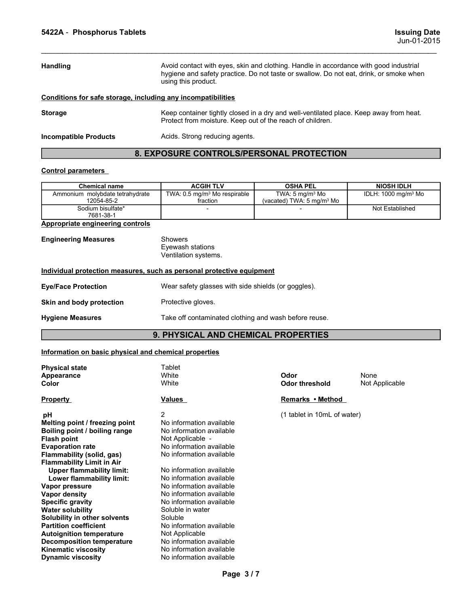| 5422A - Phosphorus Tablets                                            |                                                           |                                                                                                                                                                                 | <b>Issuing Date</b><br>Jun-01-2015 |
|-----------------------------------------------------------------------|-----------------------------------------------------------|---------------------------------------------------------------------------------------------------------------------------------------------------------------------------------|------------------------------------|
|                                                                       |                                                           |                                                                                                                                                                                 |                                    |
| <b>Handling</b>                                                       | using this product.                                       | Avoid contact with eyes, skin and clothing. Handle in accordance with good industrial<br>hygiene and safety practice. Do not taste or swallow. Do not eat, drink, or smoke when |                                    |
| Conditions for safe storage, including any incompatibilities          |                                                           |                                                                                                                                                                                 |                                    |
| <b>Storage</b>                                                        | Protect from moisture. Keep out of the reach of children. | Keep container tightly closed in a dry and well-ventilated place. Keep away from heat.                                                                                          |                                    |
| <b>Incompatible Products</b>                                          | Acids. Strong reducing agents.                            |                                                                                                                                                                                 |                                    |
|                                                                       | 8. EXPOSURE CONTROLS/PERSONAL PROTECTION                  |                                                                                                                                                                                 |                                    |
| <b>Control parameters</b>                                             |                                                           |                                                                                                                                                                                 |                                    |
| <b>Chemical name</b>                                                  | <b>ACGIH TLV</b>                                          | <b>OSHA PEL</b>                                                                                                                                                                 | <b>NIOSH IDLH</b>                  |
| Ammonium molybdate tetrahydrate<br>12054-85-2                         | TWA: 0.5 mg/m <sup>3</sup> Mo respirable<br>fraction      | TWA: 5 mg/m <sup>3</sup> Mo<br>(vacated) TWA: 5 mg/m <sup>3</sup> Mo                                                                                                            | IDLH: 1000 mg/m <sup>3</sup> Mo    |
| Sodium bisulfate*<br>7681-38-1                                        | $\overline{\phantom{a}}$                                  |                                                                                                                                                                                 | Not Established                    |
| <b>Appropriate engineering controls</b>                               |                                                           |                                                                                                                                                                                 |                                    |
| <b>Engineering Measures</b>                                           | Showers<br>Eyewash stations<br>Ventilation systems.       |                                                                                                                                                                                 |                                    |
| Individual protection measures, such as personal protective equipment |                                                           |                                                                                                                                                                                 |                                    |
| <b>Eye/Face Protection</b>                                            | Wear safety glasses with side shields (or goggles).       |                                                                                                                                                                                 |                                    |
| Skin and body protection                                              | Protective gloves.                                        |                                                                                                                                                                                 |                                    |
| <b>Hygiene Measures</b>                                               | Take off contaminated clothing and wash before reuse.     |                                                                                                                                                                                 |                                    |
|                                                                       | <b>9 PHYSICAL AND CHEMICAL PROPERTIES</b>                 |                                                                                                                                                                                 |                                    |

# 8. EXPOSURE CONTROLS/PERSONAL PROTECTION

| Chemical name                      | <b>ACGIH TLV</b>                        | <b>OSHA PEL</b>                    | <b>NIOSH IDLH</b>               |
|------------------------------------|-----------------------------------------|------------------------------------|---------------------------------|
| molvbdate tetrahvdrate<br>Ammonium | TWA: $0.5 \text{ mg/m}^3$ Mo respirable | $TWA: 5 \text{ ma/m}^3 \text{ Mo}$ | IDLH: 1000 mg/m <sup>3</sup> Mo |
| 12054-85-2                         | fraction                                | (vacated) TWA: 5 $ma/m3$ Mo        |                                 |
| Sodium bisulfate*                  |                                         |                                    | Not Established                 |
| 7681-38-1                          |                                         |                                    |                                 |

| <b>Storage</b>                                                                                       | Keep container tightly closed in a dry and well-ventilated place. Keep away from heat.<br>Protect from moisture. Keep out of the reach of children. |                                                                      |                                 |  |  |  |  |  |
|------------------------------------------------------------------------------------------------------|-----------------------------------------------------------------------------------------------------------------------------------------------------|----------------------------------------------------------------------|---------------------------------|--|--|--|--|--|
| <b>Incompatible Products</b>                                                                         | Acids. Strong reducing agents.                                                                                                                      |                                                                      |                                 |  |  |  |  |  |
|                                                                                                      | 8. EXPOSURE CONTROLS/PERSONAL PROTECTION                                                                                                            |                                                                      |                                 |  |  |  |  |  |
| <b>Control parameters</b>                                                                            |                                                                                                                                                     |                                                                      |                                 |  |  |  |  |  |
| <b>Chemical name</b>                                                                                 | <b>ACGIH TLV</b>                                                                                                                                    | <b>OSHA PEL</b>                                                      | <b>NIOSH IDLH</b>               |  |  |  |  |  |
| Ammonium molybdate tetrahydrate<br>12054-85-2                                                        | TWA: 0.5 mg/m <sup>3</sup> Mo respirable<br>fraction                                                                                                | TWA: 5 mg/m <sup>3</sup> Mo<br>(vacated) TWA: 5 mg/m <sup>3</sup> Mo | IDLH: 1000 mg/m <sup>3</sup> Mo |  |  |  |  |  |
| Sodium bisulfate*<br>7681-38-1                                                                       |                                                                                                                                                     |                                                                      | Not Established                 |  |  |  |  |  |
| <b>Appropriate engineering controls</b>                                                              |                                                                                                                                                     |                                                                      |                                 |  |  |  |  |  |
| <b>Engineering Measures</b><br>Individual protection measures, such as personal protective equipment | Showers<br>Eyewash stations<br>Ventilation systems.                                                                                                 |                                                                      |                                 |  |  |  |  |  |
|                                                                                                      |                                                                                                                                                     |                                                                      |                                 |  |  |  |  |  |
| <b>Eye/Face Protection</b>                                                                           | Wear safety glasses with side shields (or goggles).                                                                                                 |                                                                      |                                 |  |  |  |  |  |
| Skin and body protection                                                                             | Protective gloves.                                                                                                                                  |                                                                      |                                 |  |  |  |  |  |
| <b>Hygiene Measures</b>                                                                              | Take off contaminated clothing and wash before reuse.                                                                                               |                                                                      |                                 |  |  |  |  |  |
|                                                                                                      | 9. PHYSICAL AND CHEMICAL PROPERTIES                                                                                                                 |                                                                      |                                 |  |  |  |  |  |
| Information on basic physical and chemical properties                                                |                                                                                                                                                     |                                                                      |                                 |  |  |  |  |  |
| <b>Physical state</b>                                                                                | Tablet                                                                                                                                              |                                                                      |                                 |  |  |  |  |  |
| <b>Appearance</b><br>Color                                                                           | White<br>White                                                                                                                                      | Odor<br><b>Odor threshold</b>                                        | None<br>Not Applicable          |  |  |  |  |  |
| <b>Property</b>                                                                                      | Values                                                                                                                                              | Remarks • Method                                                     |                                 |  |  |  |  |  |
| рH                                                                                                   | $\overline{2}$                                                                                                                                      | (1 tablet in 10mL of water)                                          |                                 |  |  |  |  |  |

### 9. PHYSICAL AND CHEMICAL PROPERTIES

| TWA: 0.5 mg/m <sup>3</sup> Mo respirable<br>TWA: $5 \text{ mg/m}^3$ Mo<br>IDLH: 1000 mg/m <sup>3</sup> Mo<br>Ammonium molybdate tetrahydrate<br>12054-85-2<br>(vacated) TWA: 5 mg/m <sup>3</sup> Mo<br>fraction<br>Sodium bisulfate*<br>Not Established<br>7681-38-1<br><b>Showers</b><br>Eyewash stations<br>Ventilation systems.<br>Wear safety glasses with side shields (or goggles).<br>Protective gloves.<br>Take off contaminated clothing and wash before reuse.<br>9. PHYSICAL AND CHEMICAL PROPERTIES<br>Tablet<br>White<br>Odor<br>None<br>White<br>Not Applicable<br><b>Odor threshold</b><br>Remarks • Method<br>Values<br>2<br>(1 tablet in 10mL of water)<br>рH<br>No information available<br>No information available<br>Not Applicable -<br>No information available<br>No information available<br><b>Upper flammability limit:</b><br>No information available<br>No information available<br>Lower flammability limit:<br>No information available<br>No information available<br>No information available<br>Soluble in water<br>Soluble<br>No information available<br>Not Applicable<br>No information available<br>No information available<br>No information available<br>Page 3/7 | <b>Chemical name</b> | <b>ACGIH TLV</b> | <b>OSHA PEL</b> | <b>NIOSH IDLH</b> |
|--------------------------------------------------------------------------------------------------------------------------------------------------------------------------------------------------------------------------------------------------------------------------------------------------------------------------------------------------------------------------------------------------------------------------------------------------------------------------------------------------------------------------------------------------------------------------------------------------------------------------------------------------------------------------------------------------------------------------------------------------------------------------------------------------------------------------------------------------------------------------------------------------------------------------------------------------------------------------------------------------------------------------------------------------------------------------------------------------------------------------------------------------------------------------------------------------------------|----------------------|------------------|-----------------|-------------------|
| <b>Appropriate engineering controls</b><br><b>Engineering Measures</b><br><u>Individual protection measures, such as personal protective equipment</u><br><b>Eye/Face Protection</b><br>Skin and body protection<br><b>Hygiene Measures</b><br>Information on basic physical and chemical properties<br><b>Physical state</b><br><b>Appearance</b><br>Color<br><b>Property</b><br>Melting point / freezing point<br>Boiling point / boiling range<br>Flash point<br>Evaporation rate<br>Flammability (solid, gas)<br><b>Flammability Limit in Air</b><br>Vapor pressure<br>Vapor density<br><b>Specific gravity</b><br><b>Water solubility</b><br>Solubility in other solvents<br><b>Partition coefficient</b><br><b>Autoignition temperature</b><br><b>Decomposition temperature</b><br>Kinematic viscosity<br><b>Dynamic viscosity</b>                                                                                                                                                                                                                                                                                                                                                                     |                      |                  |                 |                   |
|                                                                                                                                                                                                                                                                                                                                                                                                                                                                                                                                                                                                                                                                                                                                                                                                                                                                                                                                                                                                                                                                                                                                                                                                              |                      |                  |                 |                   |
|                                                                                                                                                                                                                                                                                                                                                                                                                                                                                                                                                                                                                                                                                                                                                                                                                                                                                                                                                                                                                                                                                                                                                                                                              |                      |                  |                 |                   |
|                                                                                                                                                                                                                                                                                                                                                                                                                                                                                                                                                                                                                                                                                                                                                                                                                                                                                                                                                                                                                                                                                                                                                                                                              |                      |                  |                 |                   |
|                                                                                                                                                                                                                                                                                                                                                                                                                                                                                                                                                                                                                                                                                                                                                                                                                                                                                                                                                                                                                                                                                                                                                                                                              |                      |                  |                 |                   |
|                                                                                                                                                                                                                                                                                                                                                                                                                                                                                                                                                                                                                                                                                                                                                                                                                                                                                                                                                                                                                                                                                                                                                                                                              |                      |                  |                 |                   |
|                                                                                                                                                                                                                                                                                                                                                                                                                                                                                                                                                                                                                                                                                                                                                                                                                                                                                                                                                                                                                                                                                                                                                                                                              |                      |                  |                 |                   |
|                                                                                                                                                                                                                                                                                                                                                                                                                                                                                                                                                                                                                                                                                                                                                                                                                                                                                                                                                                                                                                                                                                                                                                                                              |                      |                  |                 |                   |
|                                                                                                                                                                                                                                                                                                                                                                                                                                                                                                                                                                                                                                                                                                                                                                                                                                                                                                                                                                                                                                                                                                                                                                                                              |                      |                  |                 |                   |
|                                                                                                                                                                                                                                                                                                                                                                                                                                                                                                                                                                                                                                                                                                                                                                                                                                                                                                                                                                                                                                                                                                                                                                                                              |                      |                  |                 |                   |
|                                                                                                                                                                                                                                                                                                                                                                                                                                                                                                                                                                                                                                                                                                                                                                                                                                                                                                                                                                                                                                                                                                                                                                                                              |                      |                  |                 |                   |
|                                                                                                                                                                                                                                                                                                                                                                                                                                                                                                                                                                                                                                                                                                                                                                                                                                                                                                                                                                                                                                                                                                                                                                                                              |                      |                  |                 |                   |
|                                                                                                                                                                                                                                                                                                                                                                                                                                                                                                                                                                                                                                                                                                                                                                                                                                                                                                                                                                                                                                                                                                                                                                                                              |                      |                  |                 |                   |
|                                                                                                                                                                                                                                                                                                                                                                                                                                                                                                                                                                                                                                                                                                                                                                                                                                                                                                                                                                                                                                                                                                                                                                                                              |                      |                  |                 |                   |
|                                                                                                                                                                                                                                                                                                                                                                                                                                                                                                                                                                                                                                                                                                                                                                                                                                                                                                                                                                                                                                                                                                                                                                                                              |                      |                  |                 |                   |
|                                                                                                                                                                                                                                                                                                                                                                                                                                                                                                                                                                                                                                                                                                                                                                                                                                                                                                                                                                                                                                                                                                                                                                                                              |                      |                  |                 |                   |
|                                                                                                                                                                                                                                                                                                                                                                                                                                                                                                                                                                                                                                                                                                                                                                                                                                                                                                                                                                                                                                                                                                                                                                                                              |                      |                  |                 |                   |
|                                                                                                                                                                                                                                                                                                                                                                                                                                                                                                                                                                                                                                                                                                                                                                                                                                                                                                                                                                                                                                                                                                                                                                                                              |                      |                  |                 |                   |
|                                                                                                                                                                                                                                                                                                                                                                                                                                                                                                                                                                                                                                                                                                                                                                                                                                                                                                                                                                                                                                                                                                                                                                                                              |                      |                  |                 |                   |
|                                                                                                                                                                                                                                                                                                                                                                                                                                                                                                                                                                                                                                                                                                                                                                                                                                                                                                                                                                                                                                                                                                                                                                                                              |                      |                  |                 |                   |
|                                                                                                                                                                                                                                                                                                                                                                                                                                                                                                                                                                                                                                                                                                                                                                                                                                                                                                                                                                                                                                                                                                                                                                                                              |                      |                  |                 |                   |
|                                                                                                                                                                                                                                                                                                                                                                                                                                                                                                                                                                                                                                                                                                                                                                                                                                                                                                                                                                                                                                                                                                                                                                                                              |                      |                  |                 |                   |
|                                                                                                                                                                                                                                                                                                                                                                                                                                                                                                                                                                                                                                                                                                                                                                                                                                                                                                                                                                                                                                                                                                                                                                                                              |                      |                  |                 |                   |
|                                                                                                                                                                                                                                                                                                                                                                                                                                                                                                                                                                                                                                                                                                                                                                                                                                                                                                                                                                                                                                                                                                                                                                                                              |                      |                  |                 |                   |
|                                                                                                                                                                                                                                                                                                                                                                                                                                                                                                                                                                                                                                                                                                                                                                                                                                                                                                                                                                                                                                                                                                                                                                                                              |                      |                  |                 |                   |
|                                                                                                                                                                                                                                                                                                                                                                                                                                                                                                                                                                                                                                                                                                                                                                                                                                                                                                                                                                                                                                                                                                                                                                                                              |                      |                  |                 |                   |
|                                                                                                                                                                                                                                                                                                                                                                                                                                                                                                                                                                                                                                                                                                                                                                                                                                                                                                                                                                                                                                                                                                                                                                                                              |                      |                  |                 |                   |
|                                                                                                                                                                                                                                                                                                                                                                                                                                                                                                                                                                                                                                                                                                                                                                                                                                                                                                                                                                                                                                                                                                                                                                                                              |                      |                  |                 |                   |
|                                                                                                                                                                                                                                                                                                                                                                                                                                                                                                                                                                                                                                                                                                                                                                                                                                                                                                                                                                                                                                                                                                                                                                                                              |                      |                  |                 |                   |
|                                                                                                                                                                                                                                                                                                                                                                                                                                                                                                                                                                                                                                                                                                                                                                                                                                                                                                                                                                                                                                                                                                                                                                                                              |                      |                  |                 |                   |
|                                                                                                                                                                                                                                                                                                                                                                                                                                                                                                                                                                                                                                                                                                                                                                                                                                                                                                                                                                                                                                                                                                                                                                                                              |                      |                  |                 |                   |
|                                                                                                                                                                                                                                                                                                                                                                                                                                                                                                                                                                                                                                                                                                                                                                                                                                                                                                                                                                                                                                                                                                                                                                                                              |                      |                  |                 |                   |
|                                                                                                                                                                                                                                                                                                                                                                                                                                                                                                                                                                                                                                                                                                                                                                                                                                                                                                                                                                                                                                                                                                                                                                                                              |                      |                  |                 |                   |
|                                                                                                                                                                                                                                                                                                                                                                                                                                                                                                                                                                                                                                                                                                                                                                                                                                                                                                                                                                                                                                                                                                                                                                                                              |                      |                  |                 |                   |
|                                                                                                                                                                                                                                                                                                                                                                                                                                                                                                                                                                                                                                                                                                                                                                                                                                                                                                                                                                                                                                                                                                                                                                                                              |                      |                  |                 |                   |
|                                                                                                                                                                                                                                                                                                                                                                                                                                                                                                                                                                                                                                                                                                                                                                                                                                                                                                                                                                                                                                                                                                                                                                                                              |                      |                  |                 |                   |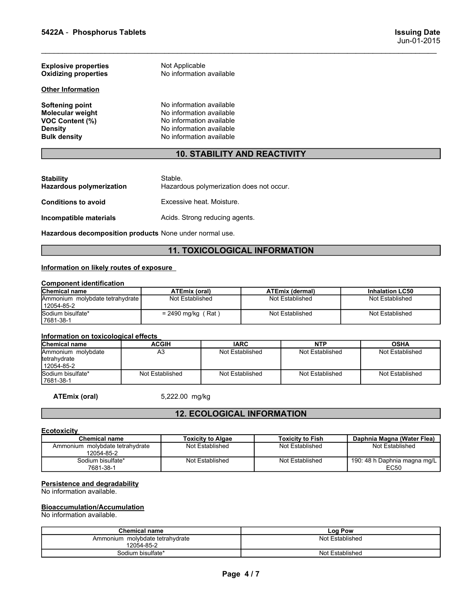| 5422A - Phosphorus Tablets                                 |                                                      |                                           | <b>Issuing Date</b><br>Jun-01-2015        |
|------------------------------------------------------------|------------------------------------------------------|-------------------------------------------|-------------------------------------------|
|                                                            |                                                      |                                           |                                           |
| <b>Explosive properties</b><br><b>Oxidizing properties</b> | Not Applicable<br>No information available           |                                           |                                           |
| <b>Other Information</b>                                   |                                                      |                                           |                                           |
| <b>Softening point</b>                                     | No information available                             |                                           |                                           |
| Molecular weight<br>VOC Content (%)                        | No information available<br>No information available |                                           |                                           |
| Density<br><b>Bulk density</b>                             | No information available<br>No information available |                                           |                                           |
|                                                            | <b>10. STABILITY AND REACTIVITY</b>                  |                                           |                                           |
|                                                            |                                                      |                                           |                                           |
| <b>Stability</b><br><b>Hazardous polymerization</b>        | Stable.<br>Hazardous polymerization does not occur.  |                                           |                                           |
| <b>Conditions to avoid</b>                                 | Excessive heat. Moisture.                            |                                           |                                           |
| Incompatible materials                                     | Acids. Strong reducing agents.                       |                                           |                                           |
| Hazardous decomposition products None under normal use.    |                                                      |                                           |                                           |
|                                                            | <b>11. TOXICOLOGICAL INFORMATION</b>                 |                                           |                                           |
| Information on likely routes of exposure                   |                                                      |                                           |                                           |
| <b>Component identification</b>                            |                                                      |                                           |                                           |
| <b>Chemical name</b><br>Ammonium molybdate tetrahydrate    | <b>ATEmix (oral)</b><br>Not Established              | <b>ATEmix (dermal)</b><br>Not Established | <b>Inhalation LC50</b><br>Not Established |
| 12054-85-2                                                 |                                                      |                                           |                                           |
| Sodium bisulfate*                                          | $= 2490$ mg/kg (Rat)                                 | Not Established                           | Not Established                           |

# 10. STABILITY AND REACTIVITY

| <b>Other Information</b>                                                                                      |                                                                                                                                          |                                           |
|---------------------------------------------------------------------------------------------------------------|------------------------------------------------------------------------------------------------------------------------------------------|-------------------------------------------|
| <b>Softening point</b><br><b>Molecular weight</b><br>VOC Content (%)<br><b>Density</b><br><b>Bulk density</b> | No information available<br>No information available<br>No information available<br>No information available<br>No information available |                                           |
|                                                                                                               |                                                                                                                                          | <b>10. STABILITY AND REACTIVITY</b>       |
| <b>Stability</b><br><b>Hazardous polymerization</b>                                                           | Stable.<br>Hazardous polymerization does not occur.                                                                                      |                                           |
| <b>Conditions to avoid</b>                                                                                    | Excessive heat. Moisture.                                                                                                                |                                           |
| Incompatible materials                                                                                        | Acids. Strong reducing agents.                                                                                                           |                                           |
| Hazardous decomposition products None under normal use.                                                       |                                                                                                                                          |                                           |
|                                                                                                               |                                                                                                                                          | <b>11. TOXICOLOGICAL INFORMATION</b>      |
| Information on likely routes of exposure                                                                      |                                                                                                                                          |                                           |
| <b>Component identification</b>                                                                               |                                                                                                                                          |                                           |
| <b>Chemical name</b><br>Ammonium molybdate tetrahydrate<br>12054-85-2                                         | <b>ATEmix (oral)</b><br>Not Established                                                                                                  | <b>ATEmix (dermal)</b><br>Not Established |
| Sodium bisulfate*<br>7681-38-1                                                                                | $= 2490$ mg/kg (Rat)                                                                                                                     | Not Established                           |

# 11. TOXICOLOGICAL INFORMATION

| יויטוומווטווומוניוס                                                                                           |                                      |                                                                                                                                          |  |                        |                        |  |  |  |
|---------------------------------------------------------------------------------------------------------------|--------------------------------------|------------------------------------------------------------------------------------------------------------------------------------------|--|------------------------|------------------------|--|--|--|
| <b>Softening point</b><br>Molecular weight<br><b>VOC Content (%)</b><br><b>Density</b><br><b>Bulk density</b> |                                      | No information available<br>No information available<br>No information available<br>No information available<br>No information available |  |                        |                        |  |  |  |
|                                                                                                               |                                      | <b>10. STABILITY AND REACTIVITY</b>                                                                                                      |  |                        |                        |  |  |  |
| <b>Stability</b><br><b>Hazardous polymerization</b>                                                           | Stable.                              | Hazardous polymerization does not occur.                                                                                                 |  |                        |                        |  |  |  |
| <b>Conditions to avoid</b>                                                                                    | Excessive heat. Moisture.            |                                                                                                                                          |  |                        |                        |  |  |  |
| Incompatible materials                                                                                        |                                      | Acids. Strong reducing agents.                                                                                                           |  |                        |                        |  |  |  |
| Hazardous decomposition products None under normal use.                                                       |                                      |                                                                                                                                          |  |                        |                        |  |  |  |
|                                                                                                               | <b>11. TOXICOLOGICAL INFORMATION</b> |                                                                                                                                          |  |                        |                        |  |  |  |
| Information on likely routes of exposure                                                                      |                                      |                                                                                                                                          |  |                        |                        |  |  |  |
| <b>Component identification</b><br>Chemical name                                                              | <b>ATEmix (oral)</b>                 |                                                                                                                                          |  | <b>ATEmix (dermal)</b> | <b>Inhalation LC50</b> |  |  |  |
| Ammonium molybdate tetrahydrate<br>12054-85-2                                                                 | Not Established                      |                                                                                                                                          |  | Not Established        | Not Established        |  |  |  |
| Sodium bisulfate*<br>7681-38-1                                                                                | $= 2490$ mg/kg (Rat)                 |                                                                                                                                          |  | Not Established        | Not Established        |  |  |  |
| Information on toxicological effects                                                                          |                                      |                                                                                                                                          |  |                        |                        |  |  |  |
| Chemical name                                                                                                 | <b>ACGIH</b>                         | <b>IARC</b>                                                                                                                              |  | <b>NTP</b>             | <b>OSHA</b>            |  |  |  |
| Ammonium molybdate<br>tetrahydrate                                                                            | A <sub>3</sub>                       | Not Established                                                                                                                          |  | Not Established        | Not Established        |  |  |  |

| Bulk density                                                     |                                               | No information available                            |                                      |                         |                        |                            |                                      |  |
|------------------------------------------------------------------|-----------------------------------------------|-----------------------------------------------------|--------------------------------------|-------------------------|------------------------|----------------------------|--------------------------------------|--|
|                                                                  |                                               |                                                     | <b>10. STABILITY AND REACTIVITY</b>  |                         |                        |                            |                                      |  |
|                                                                  |                                               |                                                     |                                      |                         |                        |                            |                                      |  |
| <b>Stability</b><br><b>Hazardous polymerization</b>              |                                               | Stable.<br>Hazardous polymerization does not occur. |                                      |                         |                        |                            |                                      |  |
| <b>Conditions to avoid</b>                                       |                                               | Excessive heat. Moisture.                           |                                      |                         |                        |                            |                                      |  |
| Incompatible materials                                           |                                               | Acids. Strong reducing agents.                      |                                      |                         |                        |                            |                                      |  |
| Hazardous decomposition products None under normal use.          |                                               |                                                     |                                      |                         |                        |                            |                                      |  |
|                                                                  |                                               |                                                     | <b>11. TOXICOLOGICAL INFORMATION</b> |                         |                        |                            |                                      |  |
| Information on likely routes of exposure                         |                                               |                                                     |                                      |                         |                        |                            |                                      |  |
| <b>Component identification</b>                                  |                                               |                                                     |                                      |                         |                        |                            |                                      |  |
| Chemical name                                                    |                                               | <b>ATEmix (oral)</b>                                |                                      |                         | <b>ATEmix (dermal)</b> |                            | <b>Inhalation LC50</b>               |  |
| Ammonium molybdate tetrahydrate<br>12054-85-2                    |                                               | Not Established                                     |                                      |                         | Not Established        |                            | Not Established                      |  |
| Sodium bisulfate*<br>7681-38-1                                   |                                               | $= 2490$ mg/kg (Rat)                                |                                      |                         | Not Established        |                            | Not Established                      |  |
| Information on toxicological effects                             |                                               |                                                     |                                      |                         |                        |                            |                                      |  |
| <b>Chemical name</b>                                             |                                               | <b>ACGIH</b>                                        | <b>IARC</b>                          |                         | <b>NTP</b>             |                            | <b>OSHA</b>                          |  |
| Ammonium molybdate<br>tetrahydrate<br>12054-85-2                 |                                               | A <sub>3</sub>                                      | Not Established                      | Not Established         |                        |                            | Not Established                      |  |
| Sodium bisulfate*<br>7681-38-1                                   |                                               | Not Established                                     | Not Established                      |                         | Not Established        |                            | Not Established                      |  |
| <b>ATEmix (oral)</b>                                             |                                               | 5,222.00 mg/kg                                      |                                      |                         |                        |                            |                                      |  |
|                                                                  |                                               |                                                     | <b>12. ECOLOGICAL INFORMATION</b>    |                         |                        |                            |                                      |  |
| <b>Ecotoxicity</b>                                               |                                               |                                                     |                                      |                         |                        |                            |                                      |  |
| <b>Chemical name</b><br><b>Toxicity to Algae</b>                 |                                               |                                                     |                                      | <b>Toxicity to Fish</b> |                        | Daphnia Magna (Water Flea) |                                      |  |
| Ammonium molybdate tetrahydrate<br>12054-85-2                    |                                               |                                                     | Not Established                      |                         | Not Established        |                            | Not Established                      |  |
| Sodium bisulfate*<br>7681-38-1                                   |                                               |                                                     | Not Established                      |                         | Not Established        |                            | 190: 48 h Daphnia magna mg/L<br>EC50 |  |
| Persistence and degradability<br>No information available.       |                                               |                                                     |                                      |                         |                        |                            |                                      |  |
| <b>Bioaccumulation/Accumulation</b><br>No information available. |                                               |                                                     |                                      |                         |                        |                            |                                      |  |
|                                                                  | <b>Chemical name</b>                          |                                                     |                                      |                         | Log Pow                |                            |                                      |  |
|                                                                  | Ammonium molybdate tetrahydrate<br>12054-85-2 |                                                     |                                      |                         | Not Established        |                            |                                      |  |
|                                                                  | Sodium bisulfate*                             |                                                     |                                      |                         | Not Established        |                            |                                      |  |
|                                                                  |                                               |                                                     |                                      |                         |                        |                            |                                      |  |
|                                                                  |                                               |                                                     | Page 4/7                             |                         |                        |                            |                                      |  |

# 12. ECOLOGICAL INFORMATION

### **Ecotoxicity**

| Not Established<br>Not Established<br>Not Established<br>Not Established<br>7681-38-1<br><b>ATEmix (oral)</b><br>5,222.00 mg/kg<br><b>12. ECOLOGICAL INFORMATION</b><br><b>Ecotoxicity</b><br><b>Chemical name</b><br><b>Toxicity to Algae</b><br><b>Toxicity to Fish</b><br>Daphnia Magna (Water Flea)<br>Ammonium molybdate tetrahydrate<br>Not Established<br>Not Established<br>Not Established<br>12054-85-2<br>Sodium bisulfate*<br>Not Established<br>Not Established<br>7681-38-1<br><b>EC50</b><br>Persistence and degradability<br>No information available.<br><b>Bioaccumulation/Accumulation</b><br>No information available.<br><b>Chemical name</b><br>Log Pow<br>Not Established<br>Ammonium molybdate tetrahydrate<br>12054-85-2<br>Sodium bisulfate*<br>Not Established<br>Page 4/7 | Pullilloilluille lilloiybuate<br>tetrahydrate<br>12054-85-2 | <b>AJ</b> | <b>NOT ESIGNISHED</b> | <b>NOT ESTADISTIED</b> |  | <b>NOT ESIGNISTIED</b>       |  |
|-------------------------------------------------------------------------------------------------------------------------------------------------------------------------------------------------------------------------------------------------------------------------------------------------------------------------------------------------------------------------------------------------------------------------------------------------------------------------------------------------------------------------------------------------------------------------------------------------------------------------------------------------------------------------------------------------------------------------------------------------------------------------------------------------------|-------------------------------------------------------------|-----------|-----------------------|------------------------|--|------------------------------|--|
|                                                                                                                                                                                                                                                                                                                                                                                                                                                                                                                                                                                                                                                                                                                                                                                                       | Sodium bisulfate*                                           |           |                       |                        |  |                              |  |
|                                                                                                                                                                                                                                                                                                                                                                                                                                                                                                                                                                                                                                                                                                                                                                                                       |                                                             |           |                       |                        |  |                              |  |
|                                                                                                                                                                                                                                                                                                                                                                                                                                                                                                                                                                                                                                                                                                                                                                                                       |                                                             |           |                       |                        |  |                              |  |
|                                                                                                                                                                                                                                                                                                                                                                                                                                                                                                                                                                                                                                                                                                                                                                                                       |                                                             |           |                       |                        |  |                              |  |
|                                                                                                                                                                                                                                                                                                                                                                                                                                                                                                                                                                                                                                                                                                                                                                                                       |                                                             |           |                       |                        |  |                              |  |
|                                                                                                                                                                                                                                                                                                                                                                                                                                                                                                                                                                                                                                                                                                                                                                                                       |                                                             |           |                       |                        |  |                              |  |
|                                                                                                                                                                                                                                                                                                                                                                                                                                                                                                                                                                                                                                                                                                                                                                                                       |                                                             |           |                       |                        |  | 190: 48 h Daphnia magna mg/L |  |
|                                                                                                                                                                                                                                                                                                                                                                                                                                                                                                                                                                                                                                                                                                                                                                                                       |                                                             |           |                       |                        |  |                              |  |
|                                                                                                                                                                                                                                                                                                                                                                                                                                                                                                                                                                                                                                                                                                                                                                                                       |                                                             |           |                       |                        |  |                              |  |
|                                                                                                                                                                                                                                                                                                                                                                                                                                                                                                                                                                                                                                                                                                                                                                                                       |                                                             |           |                       |                        |  |                              |  |
|                                                                                                                                                                                                                                                                                                                                                                                                                                                                                                                                                                                                                                                                                                                                                                                                       |                                                             |           |                       |                        |  |                              |  |
|                                                                                                                                                                                                                                                                                                                                                                                                                                                                                                                                                                                                                                                                                                                                                                                                       |                                                             |           |                       |                        |  |                              |  |

### Bioaccumulation/Accumulation

| <b>Chemical name</b>               | Log Pow         |  |
|------------------------------------|-----------------|--|
| molvbdate tetrahvdrate<br>Ammonium | Not Established |  |
| 12054-85-2                         |                 |  |
| Sodium bisulfate*                  | Not Established |  |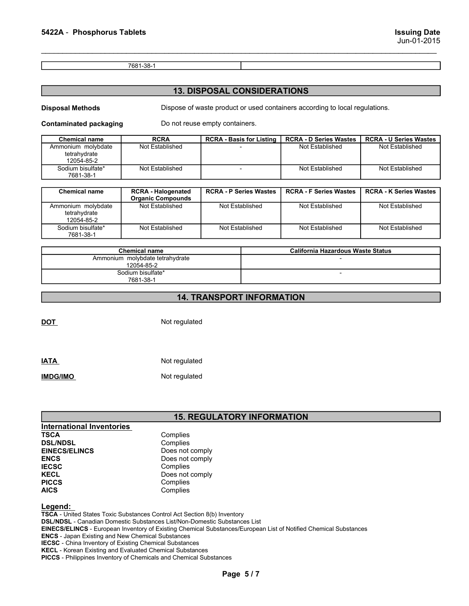### 13. DISPOSAL CONSIDERATIONS

| 5422A - Phosphorus Tablets                       |                           |                                                                             |                               | <b>Issuing Date</b><br>Jun-01-2015 |
|--------------------------------------------------|---------------------------|-----------------------------------------------------------------------------|-------------------------------|------------------------------------|
|                                                  |                           |                                                                             |                               |                                    |
|                                                  | 7681-38-1                 |                                                                             |                               |                                    |
|                                                  |                           | <b>13. DISPOSAL CONSIDERATIONS</b>                                          |                               |                                    |
| <b>Disposal Methods</b>                          |                           | Dispose of waste product or used containers according to local regulations. |                               |                                    |
| <b>Contaminated packaging</b>                    |                           | Do not reuse empty containers.                                              |                               |                                    |
| <b>Chemical name</b>                             | <b>RCRA</b>               | <b>RCRA - Basis for Listing</b>                                             | <b>RCRA - D Series Wastes</b> | <b>RCRA - U Series Wastes</b>      |
| Ammonium molybdate<br>tetrahydrate<br>12054-85-2 | Not Established           |                                                                             | Not Established               | Not Established                    |
| Sodium bisulfate*<br>7681-38-1                   | Not Established           | $\overline{\phantom{a}}$                                                    | Not Established               | Not Established                    |
| <b>Chemical name</b>                             | <b>RCRA - Halogenated</b> | <b>RCRA - P Series Wastes</b>                                               | <b>RCRA - F Series Wastes</b> | <b>RCRA - K Series Wastes</b>      |
|                                                  | <b>Organic Compounds</b>  |                                                                             |                               |                                    |
| Ammonium molybdate                               | Not Established           | Not Established                                                             | Not Established               | Not Established                    |

| 5422A - Phosphorus Tablets                               |                                                       |                                    |                                                                             | <b>Issuing Date</b><br>Jun-01-2015 |
|----------------------------------------------------------|-------------------------------------------------------|------------------------------------|-----------------------------------------------------------------------------|------------------------------------|
|                                                          | 7681-38-1                                             |                                    |                                                                             |                                    |
|                                                          |                                                       | <b>13. DISPOSAL CONSIDERATIONS</b> |                                                                             |                                    |
| <b>Disposal Methods</b><br><b>Contaminated packaging</b> |                                                       | Do not reuse empty containers.     | Dispose of waste product or used containers according to local regulations. |                                    |
| <b>Chemical name</b>                                     | <b>RCRA</b>                                           | <b>RCRA - Basis for Listing</b>    | <b>RCRA - D Series Wastes</b>                                               | <b>RCRA - U Series Wastes</b>      |
| Ammonium molybdate<br>tetrahydrate<br>12054-85-2         | <b>Not Established</b>                                |                                    | Not Established                                                             | Not Established                    |
| Sodium bisulfate*<br>7681-38-1                           | Not Established                                       |                                    | Not Established                                                             | Not Established                    |
|                                                          |                                                       |                                    |                                                                             |                                    |
| <b>Chemical name</b>                                     | <b>RCRA - Halogenated</b><br><b>Organic Compounds</b> | <b>RCRA - P Series Wastes</b>      | <b>RCRA - F Series Wastes</b>                                               | <b>RCRA - K Series Wastes</b>      |
| Ammonium molybdate<br>tetrahydrate<br>12054-85-2         | Not Established                                       | Not Established                    | Not Established                                                             | Not Established                    |
| Sodium bisulfate*<br>7681-38-1                           | Not Established                                       | Not Established                    | Not Established                                                             | Not Established                    |
|                                                          |                                                       |                                    |                                                                             |                                    |
|                                                          | <b>Chemical name</b>                                  |                                    | <b>California Hazardous Waste Status</b>                                    |                                    |
|                                                          | Ammonium molybdate tetrahydrate<br>12054-85-2         |                                    |                                                                             |                                    |
|                                                          | Sodium bisulfate*<br>7681-38-1                        |                                    | $\overline{\phantom{a}}$                                                    |                                    |
|                                                          |                                                       |                                    |                                                                             |                                    |
|                                                          |                                                       | <b>14. TRANSPORT INFORMATION</b>   |                                                                             |                                    |

| Sodium bisulfate*<br>7681-38-1   | Not Established                 | Not Established                   | Not Established                          | Not Established |  |  |  |
|----------------------------------|---------------------------------|-----------------------------------|------------------------------------------|-----------------|--|--|--|
|                                  |                                 |                                   |                                          |                 |  |  |  |
|                                  | <b>Chemical name</b>            |                                   | <b>California Hazardous Waste Status</b> |                 |  |  |  |
|                                  | Ammonium molybdate tetrahydrate |                                   |                                          |                 |  |  |  |
|                                  | 12054-85-2<br>Sodium bisulfate* |                                   |                                          |                 |  |  |  |
|                                  | 7681-38-1                       |                                   |                                          |                 |  |  |  |
|                                  |                                 |                                   |                                          |                 |  |  |  |
|                                  |                                 | <b>14. TRANSPORT INFORMATION</b>  |                                          |                 |  |  |  |
|                                  |                                 |                                   |                                          |                 |  |  |  |
| <b>DOT</b>                       | Not regulated                   |                                   |                                          |                 |  |  |  |
|                                  |                                 |                                   |                                          |                 |  |  |  |
|                                  |                                 |                                   |                                          |                 |  |  |  |
|                                  |                                 |                                   |                                          |                 |  |  |  |
|                                  |                                 |                                   |                                          |                 |  |  |  |
| <b>IATA</b>                      |                                 | Not regulated                     |                                          |                 |  |  |  |
| <b>IMDG/IMO</b>                  | Not regulated                   |                                   |                                          |                 |  |  |  |
|                                  |                                 |                                   |                                          |                 |  |  |  |
|                                  |                                 |                                   |                                          |                 |  |  |  |
|                                  |                                 |                                   |                                          |                 |  |  |  |
|                                  |                                 |                                   |                                          |                 |  |  |  |
|                                  |                                 | <b>15. REGULATORY INFORMATION</b> |                                          |                 |  |  |  |
| <b>International Inventories</b> |                                 |                                   |                                          |                 |  |  |  |
| <b>TSCA</b>                      | Complies                        |                                   |                                          |                 |  |  |  |
| <b>DSL/NDSL</b>                  | Complies                        |                                   |                                          |                 |  |  |  |
| <b>EINECS/ELINCS</b>             | Does not comply                 |                                   |                                          |                 |  |  |  |
| <b>ENCS</b><br><b>IECSC</b>      | Does not comply                 |                                   |                                          |                 |  |  |  |
| <b>KECL</b>                      | Complies<br>Does not comply     |                                   |                                          |                 |  |  |  |
| <b>PICCS</b>                     | Complies                        |                                   |                                          |                 |  |  |  |
| <b>AICS</b>                      | Complies                        |                                   |                                          |                 |  |  |  |
|                                  |                                 |                                   |                                          |                 |  |  |  |

### 14. TRANSPORT INFORMATION

| <b>IATA</b><br>$\sim$ $\sim$ $\sim$ $\sim$ | Not regulated |
|--------------------------------------------|---------------|
| <b>IMDG/IMO</b>                            | Not regulated |

## 15. REGULATORY INFORMATION

|                                  | 12054-85-2<br>Sodium bisulfate*<br>7681-38-1                                                                                                                 | -                                 |
|----------------------------------|--------------------------------------------------------------------------------------------------------------------------------------------------------------|-----------------------------------|
|                                  |                                                                                                                                                              | <b>14. TRANSPORT INFORMATION</b>  |
| DOT                              | Not regulated                                                                                                                                                |                                   |
| <b>IATA</b>                      | Not regulated                                                                                                                                                |                                   |
| <b>IMDG/IMO</b>                  | Not regulated                                                                                                                                                |                                   |
|                                  |                                                                                                                                                              | <b>15. REGULATORY INFORMATION</b> |
| <b>International Inventories</b> |                                                                                                                                                              |                                   |
| <b>TSCA</b>                      | Complies                                                                                                                                                     |                                   |
| <b>DSL/NDSL</b>                  | Complies                                                                                                                                                     |                                   |
| <b>EINECS/ELINCS</b>             | Does not comply                                                                                                                                              |                                   |
| <b>ENCS</b>                      | Does not comply                                                                                                                                              |                                   |
| <b>IECSC</b>                     | Complies                                                                                                                                                     |                                   |
| <b>KECL</b>                      | Does not comply                                                                                                                                              |                                   |
| <b>PICCS</b>                     | Complies                                                                                                                                                     |                                   |
| <b>AICS</b>                      | Complies                                                                                                                                                     |                                   |
| Legend:                          | TSCA - United States Toxic Substances Control Act Section 8(b) Inventory<br><b>DSL/NDSL</b> - Canadian Domestic Substances List/Non-Domestic Substances List |                                   |

DSL/NDSL - Canadian Domestic Substances List/Non-Domestic Substances List

EINECS/ELINCS - European Inventory of Existing Chemical Substances/European List of Notified Chemical Substances TORY INFORMATION<br>
Westances List<br>
ubstances<br>
eces<br>
Page 5/7<br>
Page 5/7

ENCS - Japan Existing and New Chemical Substances

IECSC - China Inventory of Existing Chemical Substances

KECL - Korean Existing and Evaluated Chemical Substances

PICCS - Philippines Inventory of Chemicals and Chemical Substances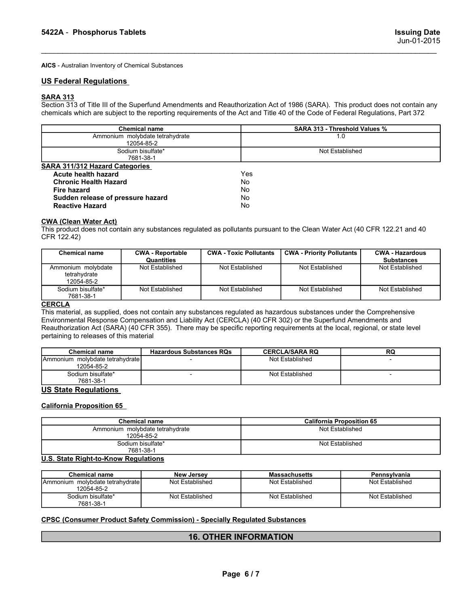S422A - Phosphorus Tablets<br>
Jun-01-2015<br>AICS - Australian Inventory of Chemical Substances<br>
IIS Federal Regulations AICS - Australian Inventory of Chemical Substances

**S422A - Phosphorus Tablets**<br> **AICS -** Australian Inventory of Chemical Substances<br> **US Federal Regulations**<br> **SARA 313**<br>
Section 313 of Title III of the Superfund Amendments and Reauthorization Act of 1986 (SARA).<br>
chemic SARA 313<br>Section 313 of Title III of the Superfund Amendments and Reauthorization Act of 1986 (SARA). This product does not contain any

| 5422A - Phosphorus Tablets                                                                                                                                                                                                                                                                                                                                                                                                       |                                                   |  |                               |                                          |  | <b>Issuing Date</b><br>Jun-01-2015 |
|----------------------------------------------------------------------------------------------------------------------------------------------------------------------------------------------------------------------------------------------------------------------------------------------------------------------------------------------------------------------------------------------------------------------------------|---------------------------------------------------|--|-------------------------------|------------------------------------------|--|------------------------------------|
| AICS - Australian Inventory of Chemical Substances                                                                                                                                                                                                                                                                                                                                                                               |                                                   |  |                               |                                          |  |                                    |
| <b>US Federal Regulations</b>                                                                                                                                                                                                                                                                                                                                                                                                    |                                                   |  |                               |                                          |  |                                    |
| <b>SARA 313</b><br>Section 313 of Title III of the Superfund Amendments and Reauthorization Act of 1986 (SARA). This product does not contain any<br>chemicals which are subject to the reporting requirements of the Act and Title 40 of the Code of Federal Regulations, Part 372                                                                                                                                              | <b>Chemical name</b>                              |  |                               | SARA 313 - Threshold Values %            |  |                                    |
| Ammonium molybdate tetrahydrate<br>1.0                                                                                                                                                                                                                                                                                                                                                                                           |                                                   |  |                               |                                          |  |                                    |
|                                                                                                                                                                                                                                                                                                                                                                                                                                  | 12054-85-2<br>Sodium bisulfate*                   |  | Not Established               |                                          |  |                                    |
| <b>SARA 311/312 Hazard Categories</b>                                                                                                                                                                                                                                                                                                                                                                                            | 7681-38-1                                         |  |                               |                                          |  |                                    |
| Acute health hazard<br><b>Chronic Health Hazard</b><br><b>Fire hazard</b><br>Sudden release of pressure hazard<br><b>Reactive Hazard</b>                                                                                                                                                                                                                                                                                         |                                                   |  | Yes<br>No<br>No<br>No<br>No   |                                          |  |                                    |
| <b>CWA (Clean Water Act)</b><br>This product does not contain any substances regulated as pollutants pursuant to the Clean Water Act (40 CFR 122.21 and 40<br>CFR 122.42)<br><b>Chemical name</b>                                                                                                                                                                                                                                | <b>CWA - Reportable</b>                           |  | <b>CWA - Toxic Pollutants</b> | <b>CWA - Priority Pollutants</b>         |  | <b>CWA - Hazardous</b>             |
|                                                                                                                                                                                                                                                                                                                                                                                                                                  | Quantities                                        |  |                               |                                          |  | <b>Substances</b>                  |
| Ammonium molybdate<br>tetrahydrate<br>12054-85-2                                                                                                                                                                                                                                                                                                                                                                                 | Not Established                                   |  | Not Established               | Not Established                          |  | Not Established                    |
| Sodium bisulfate*<br>7681-38-1                                                                                                                                                                                                                                                                                                                                                                                                   | Not Established                                   |  | Not Established               | Not Established                          |  | Not Established                    |
| <b>CERCLA</b><br>This material, as supplied, does not contain any substances regulated as hazardous substances under the Comprehensive<br>Environmental Response Compensation and Liability Act (CERCLA) (40 CFR 302) or the Superfund Amendments and<br>Reauthorization Act (SARA) (40 CFR 355). There may be specific reporting requirements at the local, regional, or state level<br>pertaining to releases of this material |                                                   |  |                               |                                          |  |                                    |
| <b>Chemical name</b><br>Ammonium molybdate tetrahydrate                                                                                                                                                                                                                                                                                                                                                                          | <b>Hazardous Substances RQs</b><br>$\blacksquare$ |  |                               | <b>CERCLA/SARA RQ</b><br>Not Established |  | RQ<br>$\sim$                       |
| 12054-85-2<br>Sodium bisulfate*                                                                                                                                                                                                                                                                                                                                                                                                  | $\overline{\phantom{a}}$                          |  |                               | Not Established                          |  | $\overline{\phantom{a}}$           |
| 7681-38-1                                                                                                                                                                                                                                                                                                                                                                                                                        |                                                   |  |                               |                                          |  |                                    |

|                                                                 | Sogium pisuliale<br>7681-38-1                 |                               | NOL ESIGDIISHEG                                                                                                            |                                      |
|-----------------------------------------------------------------|-----------------------------------------------|-------------------------------|----------------------------------------------------------------------------------------------------------------------------|--------------------------------------|
| <b>SARA 311/312 Hazard Categories</b>                           |                                               |                               |                                                                                                                            |                                      |
| Acute health hazard                                             |                                               | <b>Yes</b>                    |                                                                                                                            |                                      |
| <b>Chronic Health Hazard</b>                                    |                                               | No                            |                                                                                                                            |                                      |
| <b>Fire hazard</b>                                              |                                               | No.                           |                                                                                                                            |                                      |
| Sudden release of pressure hazard                               |                                               | <b>No</b>                     |                                                                                                                            |                                      |
| <b>Reactive Hazard</b>                                          |                                               | No.                           |                                                                                                                            |                                      |
| <b>CWA (Clean Water Act)</b>                                    |                                               |                               |                                                                                                                            |                                      |
| CFR 122.42)                                                     |                                               |                               | This product does not contain any substances regulated as pollutants pursuant to the Clean Water Act (40 CFR 122.21 and 40 |                                      |
| <b>Chemical name</b>                                            | <b>CWA - Reportable</b>                       | <b>CWA - Toxic Pollutants</b> | <b>CWA - Priority Pollutants</b>                                                                                           | <b>CWA - Hazardous</b>               |
| Ammonium molybdate                                              | Quantities<br>Not Established                 | Not Established               | Not Established                                                                                                            | <b>Substances</b><br>Not Established |
| tetrahydrate<br>12054-85-2                                      |                                               |                               |                                                                                                                            |                                      |
| Sodium bisulfate*<br>7681-38-1                                  | Not Established                               | Not Established               | Not Established                                                                                                            | Not Established                      |
| pertaining to releases of this material<br><b>Chemical name</b> | <b>Hazardous Substances RQs</b>               |                               | <b>CERCLA/SARA RQ</b>                                                                                                      | RQ                                   |
| Ammonium molybdate tetrahydrate                                 |                                               |                               | Not Established                                                                                                            | $\overline{a}$                       |
| 12054-85-2                                                      |                                               |                               |                                                                                                                            |                                      |
| Sodium bisulfate*<br>7681-38-1                                  |                                               |                               | Not Established                                                                                                            |                                      |
| <b>US State Regulations</b>                                     |                                               |                               |                                                                                                                            |                                      |
| <b>California Proposition 65</b>                                |                                               |                               |                                                                                                                            |                                      |
|                                                                 | <b>Chemical name</b>                          |                               | <b>California Proposition 65</b>                                                                                           |                                      |
|                                                                 | Ammonium molybdate tetrahydrate<br>12054-85-2 |                               | Not Established                                                                                                            |                                      |
|                                                                 | Sodium bisulfate*<br>7681-38-1                |                               | Not Established                                                                                                            |                                      |
| U.S. State Right-to-Know Regulations                            |                                               |                               |                                                                                                                            |                                      |
| <b>Chemical name</b>                                            | <b>New Jersey</b>                             |                               | <b>Massachusetts</b>                                                                                                       | Pennsylvania                         |
| Ammonium molybdate tetrahydrate<br>12054-85-2                   | Not Established                               |                               | Not Established                                                                                                            | Not Established                      |
| Sodium bisulfate*<br>7681-38-1                                  | Not Established                               |                               | Not Established                                                                                                            | Not Established                      |

| tetranydrate<br>12054-85-2                                                                                                   |                                                         |                              |                       |                                                     |
|------------------------------------------------------------------------------------------------------------------------------|---------------------------------------------------------|------------------------------|-----------------------|-----------------------------------------------------|
| Sodium bisulfate*<br>7681-38-1                                                                                               | Not Established                                         | Not Established              | Not Established       | Not Established                                     |
| <b>CERCLA</b>                                                                                                                |                                                         |                              |                       |                                                     |
| This material, as supplied, does not contain any substances regulated as hazardous substances under the Comprehensive        |                                                         |                              |                       |                                                     |
| Environmental Response Compensation and Liability Act (CERCLA) (40 CFR 302) or the Superfund Amendments and                  |                                                         |                              |                       |                                                     |
| Reauthorization Act (SARA) (40 CFR 355). There may be specific reporting requirements at the local, regional, or state level |                                                         |                              |                       |                                                     |
| pertaining to releases of this material                                                                                      |                                                         |                              |                       |                                                     |
| <b>Chemical name</b>                                                                                                         | <b>Hazardous Substances RQs</b>                         |                              | <b>CERCLA/SARA RQ</b> | <b>RQ</b>                                           |
| Ammonium molybdate tetrahydrate<br>12054-85-2                                                                                |                                                         |                              | Not Established       |                                                     |
| Sodium bisulfate*<br>7681-38-1                                                                                               |                                                         |                              | Not Established       | $\overline{\phantom{a}}$                            |
| <b>US State Regulations</b>                                                                                                  |                                                         |                              |                       |                                                     |
|                                                                                                                              | <b>Chemical name</b><br>Ammonium molybdate tetrahydrate |                              |                       | <b>California Proposition 65</b><br>Not Established |
|                                                                                                                              | 12054-85-2                                              |                              |                       |                                                     |
|                                                                                                                              | Sodium bisulfate*<br>7681-38-1                          |                              |                       | Not Established                                     |
| U.S. State Right-to-Know Regulations                                                                                         |                                                         |                              |                       |                                                     |
| <b>Chemical name</b>                                                                                                         | <b>New Jersey</b>                                       |                              | <b>Massachusetts</b>  | Pennsylvania                                        |
| Ammonium molybdate tetrahydrate<br>12054-85-2                                                                                | Not Established                                         |                              | Not Established       | Not Established                                     |
| Sodium bisulfate*<br>7681-38-1                                                                                               | Not Established                                         |                              | Not Established       | Not Established                                     |
| <b>CPSC (Consumer Product Safety Commission) - Specially Regulated Substances</b>                                            |                                                         |                              |                       |                                                     |
|                                                                                                                              |                                                         |                              |                       |                                                     |
|                                                                                                                              |                                                         | <b>16. OTHER INFORMATION</b> |                       |                                                     |
|                                                                                                                              |                                                         |                              |                       |                                                     |
|                                                                                                                              |                                                         |                              |                       |                                                     |
|                                                                                                                              |                                                         |                              |                       |                                                     |
|                                                                                                                              |                                                         |                              |                       |                                                     |

| 7681-38-1<br><b>US State Regulations</b><br><b>California Proposition 65</b><br><b>Chemical name</b><br>Ammonium molybdate tetrahydrate |                   |                              |                                  |
|-----------------------------------------------------------------------------------------------------------------------------------------|-------------------|------------------------------|----------------------------------|
|                                                                                                                                         |                   |                              |                                  |
|                                                                                                                                         |                   |                              |                                  |
|                                                                                                                                         |                   |                              | <b>California Proposition 65</b> |
| 12054-85-2                                                                                                                              |                   | Not Established              |                                  |
| Sodium bisulfate*<br>7681-38-1                                                                                                          |                   | Not Established              |                                  |
| U.S. State Right-to-Know Regulations                                                                                                    |                   |                              |                                  |
| <b>Chemical name</b>                                                                                                                    | <b>New Jersey</b> | <b>Massachusetts</b>         | Pennsylvania                     |
| Ammonium molybdate tetrahydrate<br>12054-85-2                                                                                           | Not Established   | Not Established              | Not Established                  |
| Sodium bisulfate*<br>7681-38-1                                                                                                          | Not Established   | Not Established              | Not Established                  |
| <b>CPSC (Consumer Product Safety Commission) - Specially Regulated Substances</b>                                                       |                   | <b>16. OTHER INFORMATION</b> |                                  |

| <b>Chemical name</b>                                     | <b>New Jersey</b> | <b>Massachusetts</b> | Pennsylvania    |
|----------------------------------------------------------|-------------------|----------------------|-----------------|
| molybdate tetrahydrate<br><b>IAmmonium</b><br>12054-85-2 | Not Established   | Not Established      | Not Established |
| Sodium bisulfate*<br>7681-38-1                           | Not Established   | Not Established      | Not Established |

### 16. OTHER INFORMATION